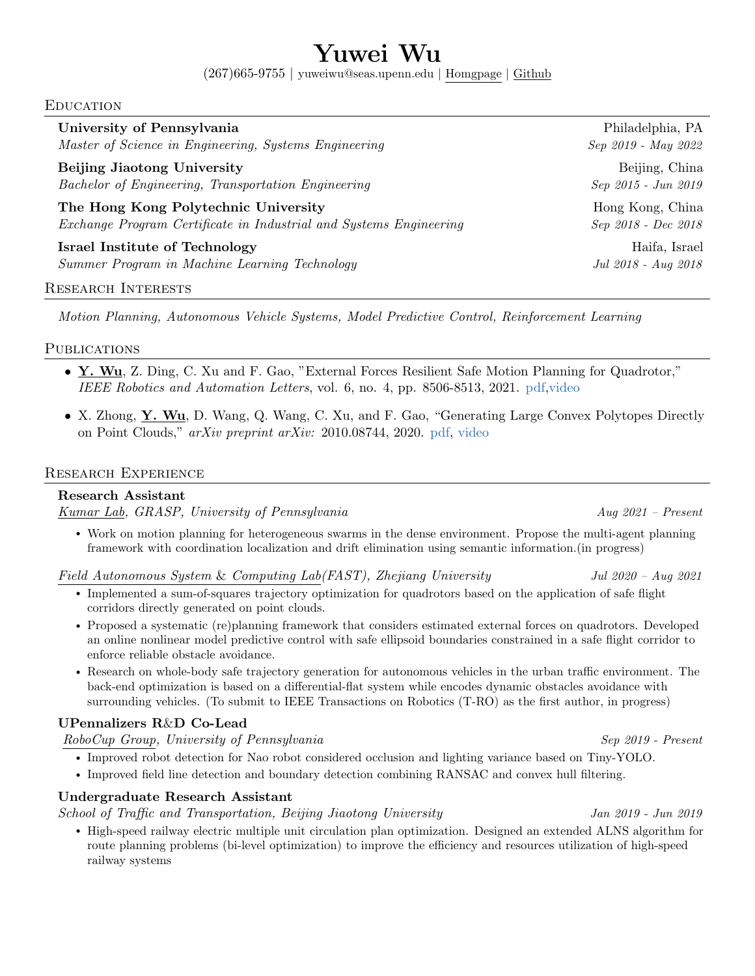# Yuwei Wu

(267)665-9755 | yuweiwu@seas.upenn.edu | [Homgpage](https://www.seas.upenn.edu/~yuweiwu/) | [Github](https://github.com/yuwei-wu)

#### Education

| University of Pennsylvania                                         | Philadelphia, PA    |
|--------------------------------------------------------------------|---------------------|
| Master of Science in Engineering, Systems Engineering              | Sep 2019 - May 2022 |
| Beijing Jiaotong University                                        | Beijing, China      |
| Bachelor of Engineering, Transportation Engineering                | Sep 2015 - Jun 2019 |
| The Hong Kong Polytechnic University                               | Hong Kong, China    |
| Exchange Program Certificate in Industrial and Systems Engineering | Sep 2018 - Dec 2018 |
| <b>Israel Institute of Technology</b>                              | Haifa, Israel       |
| Summer Program in Machine Learning Technology                      | Jul 2018 - Aug 2018 |

#### Research Interests

Motion Planning, Autonomous Vehicle Systems, Model Predictive Control, Reinforcement Learning

#### **PUBLICATIONS**

- Y. Wu, Z. Ding, C. Xu and F. Gao, "External Forces Resilient Safe Motion Planning for Quadrotor," IEEE Robotics and Automation Letters, vol. 6, no. 4, pp. 8506-8513, 2021. [pdf](https://ieeexplore.ieee.org/document/9531427)[,video](https://www.youtube.com/watch?v=nSKbzAM0v18)
- X. Zhong, Y. Wu, D. Wang, Q. Wang, C. Xu, and F. Gao, "Generating Large Convex Polytopes Directly on Point Clouds," arXiv preprint arXiv: 2010.08744, 2020. [pdf,](https://arxiv.org/pdf/2010.08744.pdf) [video](https://www.youtube.com/watch?v=dl0VBgGLLA4)

#### Research Experience

#### Research Assistant

[Kumar Lab,](https://www.grasp.upenn.edu/research-groups/kumar-lab/) GRASP, University of Pennsylvania Aug 2021 – Present

• Work on motion planning for heterogeneous swarms in the dense environment. Propose the multi-agent planning framework with coordination localization and drift elimination using semantic information.(in progress)

[Field Autonomous System](http://zju-fast.com/) & Computing Lab(FAST), Zhejiang University Jul 2020 – Aug 2021

- Implemented a sum-of-squares trajectory optimization for quadrotors based on the application of safe flight corridors directly generated on point clouds.
- Proposed a systematic (re)planning framework that considers estimated external forces on quadrotors. Developed an online nonlinear model predictive control with safe ellipsoid boundaries constrained in a safe flight corridor to enforce reliable obstacle avoidance.
- Research on whole-body safe trajectory generation for autonomous vehicles in the urban traffic environment. The back-end optimization is based on a differential-flat system while encodes dynamic obstacles avoidance with surrounding vehicles. (To submit to IEEE Transactions on Robotics (T-RO) as the first author, in progress)

### UPennalizers R&D Co-Lead

[RoboCup Group,](https://fling.seas.upenn.edu/~robocup/wiki/) University of Pennsylvania Sep 2019 - Present

- Improved robot detection for Nao robot considered occlusion and lighting variance based on Tiny-YOLO.
- Improved field line detection and boundary detection combining RANSAC and convex hull filtering.

#### Undergraduate Research Assistant

School of Traffic and Transportation, Beijing Jiaotong University Jan 2019 - Jun 2019

• High-speed railway electric multiple unit circulation plan optimization. Designed an extended ALNS algorithm for route planning problems (bi-level optimization) to improve the efficiency and resources utilization of high-speed railway systems